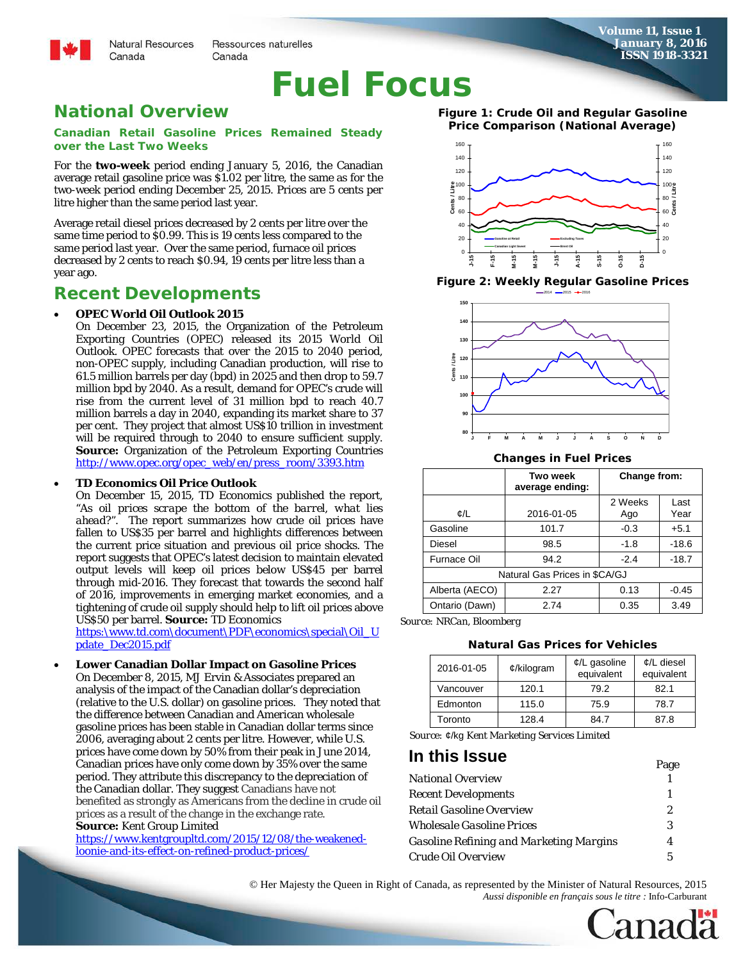**Natural Resources** Ressources naturelles Canada

# **Fuel Focus**

### **National Overview**

Canada

**Canadian Retail Gasoline Prices Remained Steady over the Last Two Weeks**

For the **two-week** period ending January 5, 2016, the Canadian average retail gasoline price was \$1.02 per litre, the same as for the two-week period ending December 25, 2015. Prices are 5 cents per litre higher than the same period last year.

Average retail diesel prices decreased by 2 cents per litre over the same time period to \$0.99. This is 19 cents less compared to the same period last year. Over the same period, furnace oil prices decreased by 2 cents to reach \$0.94, 19 cents per litre less than a year ago.

### **Recent Developments**

#### • **OPEC World Oil Outlook 2015**

On December 23, 2015, the Organization of the Petroleum Exporting Countries (OPEC) released its 2015 *World Oil Outlook*. OPEC forecasts that over the 2015 to 2040 period, non-OPEC supply, including Canadian production, will rise to 61.5 million barrels per day (bpd) in 2025 and then drop to 59.7 million bpd by 2040. As a result, demand for OPEC's crude will rise from the current level of 31 million bpd to reach 40.7 million barrels a day in 2040, expanding its market share to 37 per cent. They project that almost US\$10 trillion in investment will be required through to 2040 to ensure sufficient supply. **Source:** Organization of the Petroleum Exporting Countries [http://www.opec.org/opec\\_web/en/press\\_room/3393.htm](http://www.opec.org/opec_web/en/press_room/3393.htm)

#### • **TD Economics Oil Price Outlook**

On December 15, 2015, TD Economics published the report, "*As oil prices scrape the bottom of the barrel, what lies ahead?"*. The report summarizes how crude oil prices have fallen to US\$35 per barrel and highlights differences between the current price situation and previous oil price shocks. The report suggests that OPEC's latest decision to maintain elevated output levels will keep oil prices below US\$45 per barrel through mid-2016. They forecast that towards the second half of 2016, improvements in emerging market economies, and a tightening of crude oil supply should help to lift oil prices above US\$50 per barrel. **Source:** TD Economics

[https:\www.td.com\document\PDF\economics\special\Oil\\_U](https://www.td.com/document/PDF/economics/special/Oil_Update_Dec2015.pdf) [pdate\\_Dec2015.pdf](https://www.td.com/document/PDF/economics/special/Oil_Update_Dec2015.pdf)

• **Lower Canadian Dollar Impact on Gasoline Prices** On December 8, 2015, MJ Ervin & Associates prepared an analysis of the impact of the Canadian dollar's depreciation (relative to the U.S. dollar) on gasoline prices. They noted that the difference between Canadian and American wholesale gasoline prices has been stable in Canadian dollar terms since 2006, averaging about 2 cents per litre. However, while U.S. prices have come down by 50% from their peak in June 2014, Canadian prices have only come down by 35% over the same period. They attribute this discrepancy to the depreciation of the Canadian dollar. They suggest Canadians have not benefited as strongly as Americans from the decline in crude oil prices as a result of the change in the exchange rate. **Source:** Kent Group Limited

[https://www.kentgroupltd.com/2015/12/08/the-weakened](https://www.kentgroupltd.com/2015/12/08/the-weakened-loonie-and-its-effect-on-refined-product-prices/)[loonie-and-its-effect-on-refined-product-prices/](https://www.kentgroupltd.com/2015/12/08/the-weakened-loonie-and-its-effect-on-refined-product-prices/)

**Figure 1: Crude Oil and Regular Gasoline Price Comparison (National Average)**



**Figure 2: Weekly Regular Gasoline Prices**



**Changes in Fuel Prices**

|                               | <b>Two week</b><br>average ending: | Change from:   |              |  |  |
|-------------------------------|------------------------------------|----------------|--------------|--|--|
| ¢/L                           | 2016-01-05                         | 2 Weeks<br>Ago | Last<br>Year |  |  |
| Gasoline                      | 101.7                              | $-0.3$         | $+5.1$       |  |  |
| Diesel                        | 98.5                               | $-1.8$         | $-18.6$      |  |  |
| <b>Furnace Oil</b>            | 94.2                               | $-2.4$         | $-18.7$      |  |  |
| Natural Gas Prices in \$CA/GJ |                                    |                |              |  |  |
| Alberta (AECO)                | 2.27                               | 0.13           | $-0.45$      |  |  |
| Ontario (Dawn)                | 2.74                               | 0.35           | 3.49         |  |  |

*Source: NRCan, Bloomberg*

#### **Natural Gas Prices for Vehicles**

| 2016-01-05 | $¢$ /kilogram | $\mathcal{L}/L$ gasoline<br>equivalent | $\mathcal{L}/L$ diesel<br>equivalent |  |
|------------|---------------|----------------------------------------|--------------------------------------|--|
| Vancouver  | 120.1         | 79.2                                   | 82.1                                 |  |
| Edmonton   | 115.0         | 75.9                                   | 78.7                                 |  |
| Toronto    | 128.4         | 84.7                                   | 87.8                                 |  |

 *Source:* ¢/kg *Kent Marketing Services Limited*

### **In this Issue** Page

|                                                | <b>A</b> us |
|------------------------------------------------|-------------|
| <b>National Overview</b>                       |             |
| <b>Recent Developments</b>                     |             |
| Retail Gasoline Overview                       | 2.          |
| Wholesale Gasoline Prices                      | 3           |
| <b>Gasoline Refining and Marketing Margins</b> |             |
| Crude Oil Overview                             | 5.          |
|                                                |             |



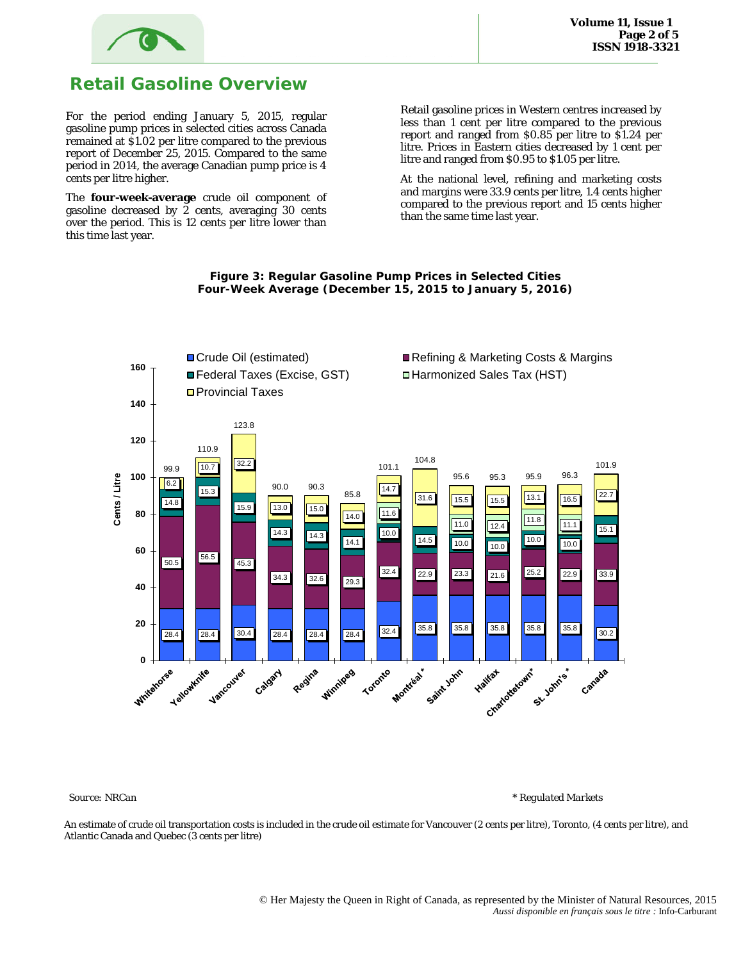

### **Retail Gasoline Overview**

For the period ending January 5, 2015, regular gasoline pump prices in selected cities across Canada remained at \$1.02 per litre compared to the previous report of December 25, 2015. Compared to the same period in 2014, the average Canadian pump price is 4 cents per litre higher.

The **four-week-average** crude oil component of gasoline decreased by 2 cents, averaging 30 cents over the period. This is 12 cents per litre lower than this time last year.

Retail gasoline prices in Western centres increased by less than 1 cent per litre compared to the previous report and ranged from \$0.85 per litre to \$1.24 per litre. Prices in Eastern cities decreased by 1 cent per litre and ranged from \$0.95 to \$1.05 per litre.

At the national level, refining and marketing costs and margins were 33.9 cents per litre, 1.4 cents higher compared to the previous report and 15 cents higher than the same time last year.



#### **Figure 3: Regular Gasoline Pump Prices in Selected Cities Four-Week Average (December 15, 2015 to January 5, 2016)**

 *Source: NRCan \* Regulated Markets*

An estimate of crude oil transportation costs is included in the crude oil estimate for Vancouver (2 cents per litre), Toronto, (4 cents per litre), and Atlantic Canada and Quebec (3 cents per litre)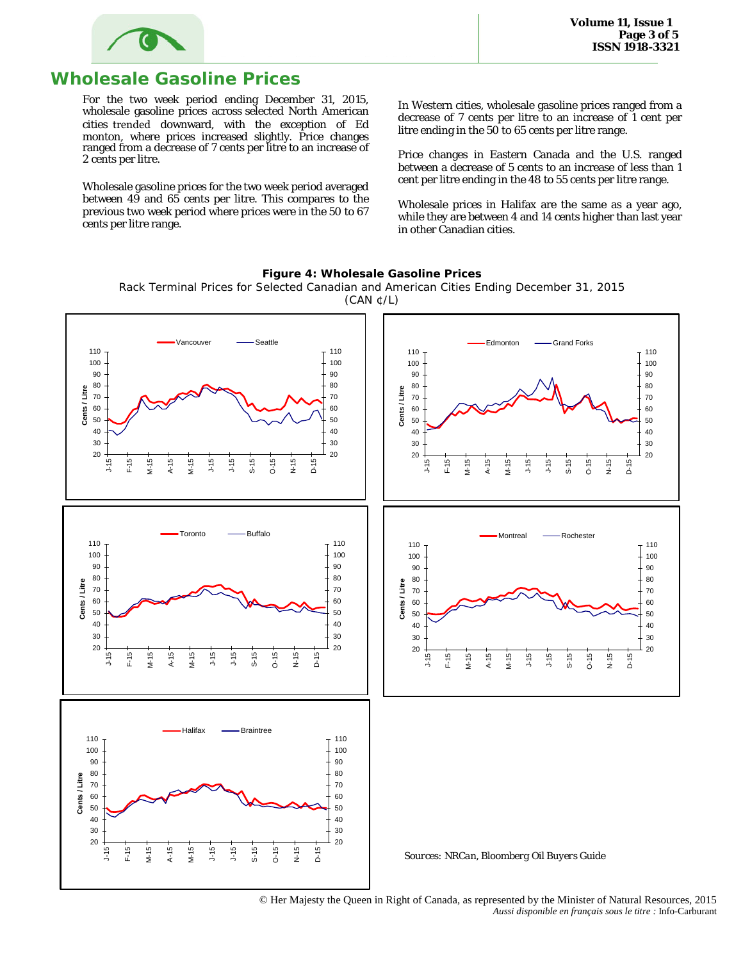

### **Wholesale Gasoline Prices**

For the two week period ending December 31, 2015, wholesale gasoline prices across selected North American cities trended downward, with the exception of Ed monton, where prices increased slightly. Price changes ranged from a decrease of 7 cents per litre to an increase of 2 cents per litre.

Wholesale gasoline prices for the two week period averaged between 49 and 65 cents per litre. This compares to the previous two week period where prices were in the 50 to 67 cents per litre range.

In Western cities, wholesale gasoline prices ranged from a decrease of 7 cents per litre to an increase of 1 cent per litre ending in the 50 to 65 cents per litre range.

Price changes in Eastern Canada and the U.S. ranged between a decrease of 5 cents to an increase of less than 1 cent per litre ending in the 48 to 55 cents per litre range.

Wholesale prices in Halifax are the same as a year ago, while they are between 4 and 14 cents higher than last year in other Canadian cities.



**Figure 4: Wholesale Gasoline Prices**

Rack Terminal Prices for Selected Canadian and American Cities Ending December 31, 2015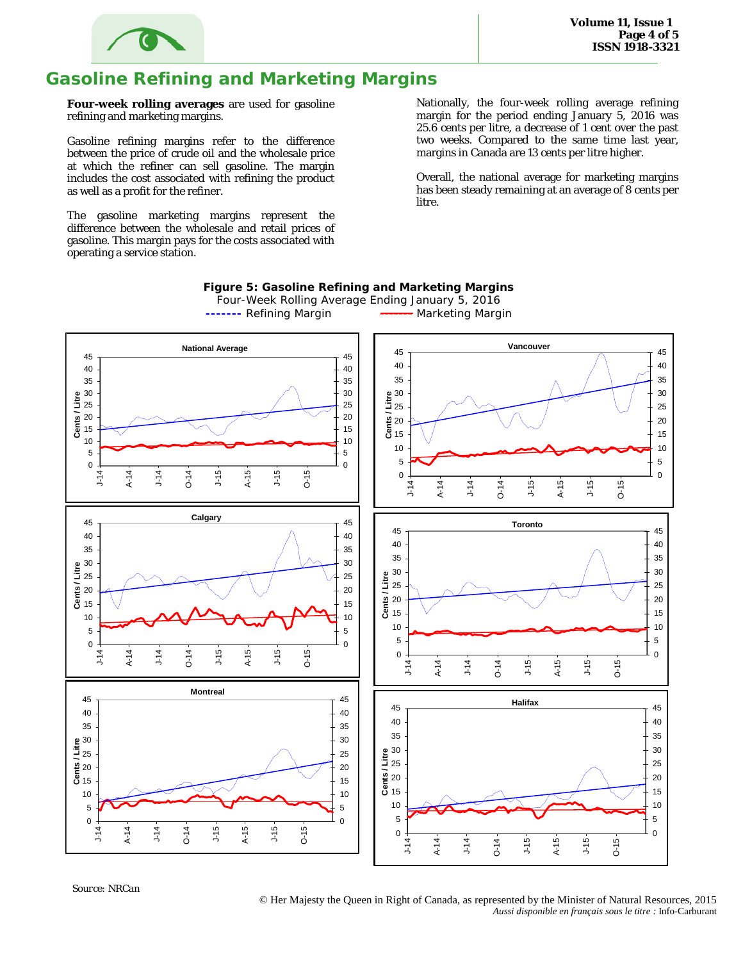

## **Gasoline Refining and Marketing Margins**

**Four-week rolling averages** are used for gasoline refining and marketing margins.

Gasoline refining margins refer to the difference between the price of crude oil and the wholesale price at which the refiner can sell gasoline. The margin includes the cost associated with refining the product as well as a profit for the refiner.

The gasoline marketing margins represent the difference between the wholesale and retail prices of gasoline. This margin pays for the costs associated with operating a service station.

Nationally, the four-week rolling average refining margin for the period ending January 5, 2016 was 25.6 cents per litre, a decrease of 1 cent over the past two weeks. Compared to the same time last year, margins in Canada are 13 cents per litre higher.

Overall, the national average for marketing margins has been steady remaining at an average of 8 cents per litre.



#### **Figure 5: Gasoline Refining and Marketing Margins**

Four-Week Rolling Average Ending January 5, 2016 **-------** Refining Margin **------** Marketing Margin